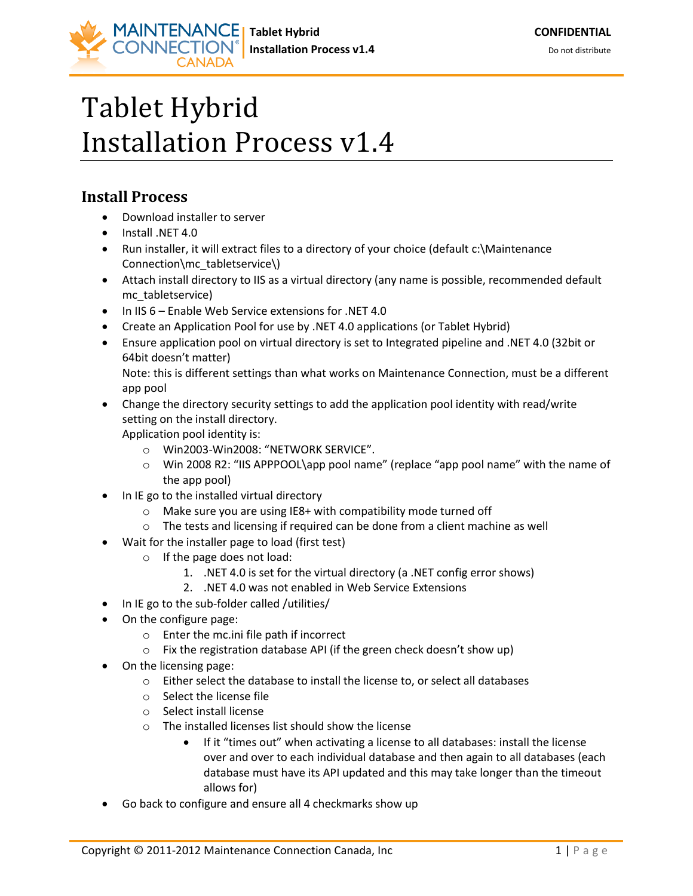## Tablet Hybrid Installation Process v1.4

## **Install Process**

- Download installer to server
- Install .NET 4.0
- Run installer, it will extract files to a directory of your choice (default c:\Maintenance Connection\mc\_tabletservice\)
- Attach install directory to IIS as a virtual directory (any name is possible, recommended default mc\_tabletservice)
- In IIS 6 Enable Web Service extensions for .NET 4.0
- Create an Application Pool for use by .NET 4.0 applications (or Tablet Hybrid)
- Ensure application pool on virtual directory is set to Integrated pipeline and .NET 4.0 (32bit or 64bit doesn't matter)

Note: this is different settings than what works on Maintenance Connection, must be a different app pool

 Change the directory security settings to add the application pool identity with read/write setting on the install directory.

Application pool identity is:

- o Win2003-Win2008: "NETWORK SERVICE".
- o Win 2008 R2: "IIS APPPOOL\app pool name" (replace "app pool name" with the name of the app pool)
- In IE go to the installed virtual directory
	- $\circ$  Make sure you are using IE8+ with compatibility mode turned off
	- o The tests and licensing if required can be done from a client machine as well
- Wait for the installer page to load (first test)
	- o If the page does not load:
		- 1. .NET 4.0 is set for the virtual directory (a .NET config error shows)
		- 2. .NET 4.0 was not enabled in Web Service Extensions
- In IE go to the sub-folder called /utilities/
- On the configure page:
	- o Enter the mc.ini file path if incorrect
	- o Fix the registration database API (if the green check doesn't show up)
- On the licensing page:
	- o Either select the database to install the license to, or select all databases
	- o Select the license file
	- o Select install license
	- o The installed licenses list should show the license
		- If it "times out" when activating a license to all databases: install the license over and over to each individual database and then again to all databases (each database must have its API updated and this may take longer than the timeout allows for)
- Go back to configure and ensure all 4 checkmarks show up